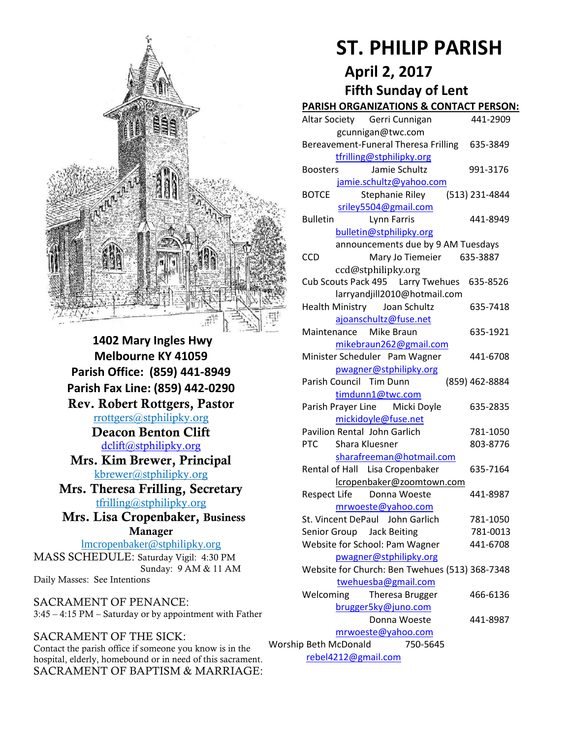

**1402 Mary Ingles Hwy Melbourne KY 41059 Parish Office: (859) 441-8949 Parish Fax Line: (859) 442-0290 Rev. Robert Rottgers, Pastor**  [rrottgers@stphilipky.org](mailto:rrottgers@stphilipky.org) **Deacon Benton Clift**  [dclift@stphilipky.org](mailto:dclift@stphilipky.org) **Mrs. Kim Brewer, Principal**  [kbrewer@stphilipky.org](mailto:kbrewer@stphilipky.org) **Mrs. Theresa Frilling, Secretary**  [tfrilling@stphilipky.org](mailto:tfrilling@stphilipky.org) **Mrs. Lisa Cropenbaker, Business Manager**  lmcropenbaker@stphilipky.org

MASS SCHEDULE: Saturday Vigil: 4:30 PM Sunday: 9 AM & 11 AM Daily Masses: See Intentions

SACRAMENT OF PENANCE: 3:45 – 4:15 PM – Saturday or by appointment with Father

#### SACRAMENT OF THE SICK:

Contact the parish office if someone you know is in the hospital, elderly, homebound or in need of this sacrament. SACRAMENT OF BAPTISM & MARRIAGE:

# **ST. PHILIP PARISH**

# **April 2, 2017 Fifth Sunday of Lent**

#### **PARISH ORGANIZATIONS & CONTACT PERSON:**

|                                                | Altar Society Gerri Cunnigan                   | 441-2909       |
|------------------------------------------------|------------------------------------------------|----------------|
|                                                | gcunnigan@twc.com                              |                |
|                                                | Bereavement-Funeral Theresa Frilling 635-3849  |                |
|                                                | tfrilling@stphilipky.org                       |                |
|                                                | Jamie Schultz<br><b>Boosters</b>               | 991-3176       |
|                                                | jamie.schultz@yahoo.com                        |                |
|                                                | <b>BOTCE</b><br>Stephanie Riley                | (513) 231-4844 |
|                                                | sriley5504@gmail.com                           |                |
|                                                | Lynn Farris<br><b>Bulletin</b>                 | 441-8949       |
|                                                | bulletin@stphilipky.org                        |                |
|                                                | announcements due by 9 AM Tuesdays             |                |
|                                                | Mary Jo Tiemeier<br><b>CCD</b>                 | 635-3887       |
|                                                | ccd@stphilipky.org                             |                |
|                                                | Cub Scouts Pack 495   Larry Twehues   635-8526 |                |
|                                                | larryandjill2010@hotmail.com                   |                |
|                                                | Health Ministry Joan Schultz                   | 635-7418       |
|                                                | ajoanschultz@fuse.net                          |                |
|                                                | Maintenance<br>Mike Braun                      | 635-1921       |
|                                                | mikebraun262@gmail.com                         |                |
|                                                | Minister Scheduler Pam Wagner                  | 441-6708       |
|                                                | pwagner@stphilipky.org                         |                |
|                                                | Parish Council Tim Dunn                        | (859) 462-8884 |
|                                                | timdunn1@twc.com                               |                |
|                                                | Parish Prayer Line Micki Doyle                 | 635-2835       |
| mickidoyle@fuse.net                            |                                                |                |
|                                                | Pavilion Rental John Garlich                   | 781-1050       |
|                                                | <b>PTC</b><br>Shara Kluesner                   | 803-8776       |
|                                                | sharafreeman@hotmail.com                       |                |
|                                                | Rental of Hall Lisa Cropenbaker                | 635-7164       |
|                                                | lcropenbaker@zoomtown.com                      |                |
|                                                | Donna Woeste<br><b>Respect Life</b>            | 441-8987       |
|                                                | mrwoeste@yahoo.com                             |                |
|                                                | St. Vincent DePaul John Garlich                | 781-1050       |
|                                                | Senior Group Jack Beiting                      | 781-0013       |
|                                                | Website for School: Pam Wagner                 | 441-6708       |
|                                                | pwagner@stphilipky.org                         |                |
| Website for Church: Ben Twehues (513) 368-7348 |                                                |                |
| twehuesba@gmail.com                            |                                                |                |
|                                                | Welcoming<br>Theresa Brugger                   | 466-6136       |
| brugger5ky@juno.com                            |                                                |                |
|                                                | Donna Woeste                                   | 441-8987       |
| mrwoeste@yahoo.com                             |                                                |                |
| 750-5645<br>Worship Beth McDonald              |                                                |                |
| rebel4212@gmail.com                            |                                                |                |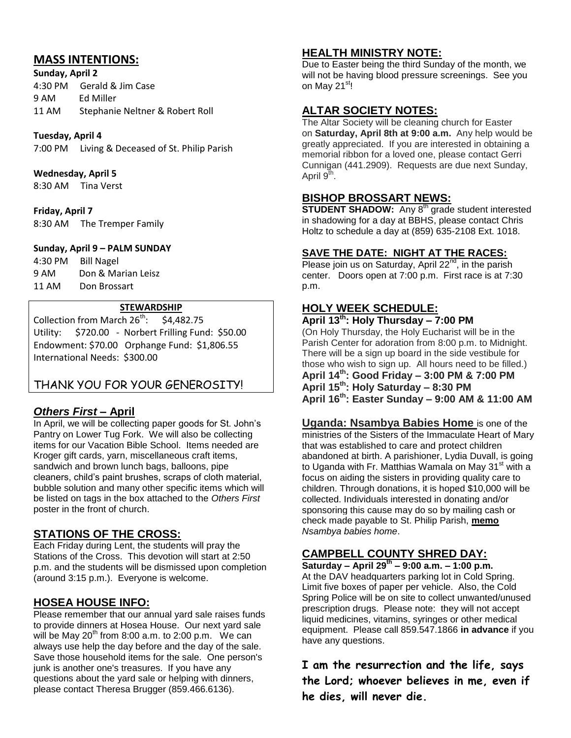# **MASS INTENTIONS:**

**Sunday, April 2**  4:30 PM Gerald & Jim Case

9 AM Ed Miller 11 AM Stephanie Neltner & Robert Roll

#### **Tuesday, April 4**

7:00 PM Living & Deceased of St. Philip Parish

#### **Wednesday, April 5**

8:30 AM Tina Verst

#### **Friday, April 7**

8:30 AM The Tremper Family

#### **Sunday, April 9 – PALM SUNDAY**

4:30 PM Bill Nagel 9 AM Don & Marian Leisz 11 AM Don Brossart

#### **STEWARDSHIP**

Collection from March  $26^{th}$ : \$4,482.75 Utility: \$720.00 - Norbert Frilling Fund: \$50.00 Endowment: \$70.00 Orphange Fund: \$1,806.55 International Needs: \$300.00

# THANK YOU FOR YOUR GENEROSITY!

#### *Others First* **– April**

In April, we will be collecting paper goods for St. John's Pantry on Lower Tug Fork. We will also be collecting items for our Vacation Bible School. Items needed are Kroger gift cards, yarn, miscellaneous craft items, sandwich and brown lunch bags, balloons, pipe cleaners, child's paint brushes, scraps of cloth material, bubble solution and many other specific items which will be listed on tags in the box attached to the *Others First* poster in the front of church.

#### **STATIONS OF THE CROSS:**

Each Friday during Lent, the students will pray the Stations of the Cross. This devotion will start at 2:50 p.m. and the students will be dismissed upon completion (around 3:15 p.m.). Everyone is welcome.

#### **HOSEA HOUSE INFO:**

Please remember that our annual yard sale raises funds to provide dinners at Hosea House. Our next yard sale will be May  $20^{th}$  from 8:00 a.m. to 2:00 p.m. We can always use help the day before and the day of the sale. Save those household items for the sale. One person's junk is another one's treasures. If you have any questions about the yard sale or helping with dinners, please contact Theresa Brugger (859.466.6136).

#### **HEALTH MINISTRY NOTE:**

Due to Easter being the third Sunday of the month, we will not be having blood pressure screenings. See you on Mav 21<sup>st</sup>!

#### **ALTAR SOCIETY NOTES:**

The Altar Society will be cleaning church for Easter on **Saturday, April 8th at 9:00 a.m.** Any help would be greatly appreciated. If you are interested in obtaining a memorial ribbon for a loved one, please contact Gerri Cunnigan (441.2909). Requests are due next Sunday, April 9<sup>th</sup>.

#### **BISHOP BROSSART NEWS:**

**STUDENT SHADOW:** Any 8<sup>th</sup> grade student interested in shadowing for a day at BBHS, please contact Chris Holtz to schedule a day at (859) 635-2108 Ext. 1018.

#### **SAVE THE DATE: NIGHT AT THE RACES:**

Please join us on Saturday, April  $22^{nd}$ , in the parish center. Doors open at 7:00 p.m. First race is at 7:30 p.m.

#### **HOLY WEEK SCHEDULE:**

# **April 13th: Holy Thursday – 7:00 PM**

(On Holy Thursday, the Holy Eucharist will be in the Parish Center for adoration from 8:00 p.m. to Midnight. There will be a sign up board in the side vestibule for those who wish to sign up. All hours need to be filled.) **April 14th: Good Friday – 3:00 PM & 7:00 PM April 15th: Holy Saturday – 8:30 PM April 16th: Easter Sunday – 9:00 AM & 11:00 AM**

**Uganda: Nsambya Babies Home** is one of the ministries of the Sisters of the Immaculate Heart of Mary that was established to care and protect children abandoned at birth. A parishioner, Lydia Duvall, is going to Uganda with Fr. Matthias Wamala on May 31<sup>st</sup> with a focus on aiding the sisters in providing quality care to children. Through donations, it is hoped \$10,000 will be collected. Individuals interested in donating and/or sponsoring this cause may do so by mailing cash or check made payable to St. Philip Parish, **memo**  *Nsambya babies home*.

# **CAMPBELL COUNTY SHRED DAY:**

**Saturday – April 29th – 9:00 a.m. – 1:00 p.m.** At the DAV headquarters parking lot in Cold Spring. Limit five boxes of paper per vehicle. Also, the Cold Spring Police will be on site to collect unwanted/unused prescription drugs. Please note: they will not accept liquid medicines, vitamins, syringes or other medical equipment. Please call 859.547.1866 **in advance** if you have any questions.

**I am the resurrection and the life, says the Lord; whoever believes in me, even if he dies, will never die.**